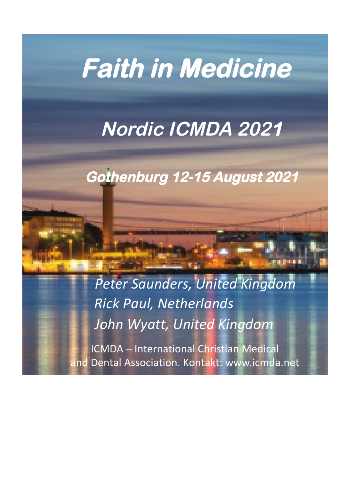# **Faith in Medicine**

# **Nordic ICMDA 2021**

**Gothenburg 12-15 August 2021**

# *Peter Saunders, United Kingdom Rick Paul, Netherlands John Wyatt, United Kingdom*

ICMDA - International Christian Medical and Dental Association. Kontakt: www.icmda.net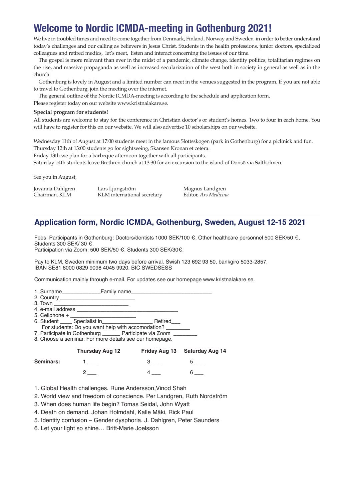# **Welcome to Nordic ICMDA-meeting in Gothenburg 2021!**

We live in troubled times and need to come together from Denmark, Finland, Norway and Sweden in order to better understand today's challenges and our calling as believers in Jesus Christ. Students in the health professions, junior doctors, specialized colleagues and retired medics, let's meet, listen and interact concerning the issues of our time.

The gospel is more relevant than ever in the midst of a pandemic, climate change, identity politics, totalitarian regimes on the rise, and massive propaganda as well as increased secularization of the west both in society in general as well as in the church.

Gothenburg is lovely in August and a limited number can meet in the venues suggested in the program. If you are not able to travel to Gothenburg, join the meeting over the internet.

The general outline of the Nordic ICMDA-meeting is according to the schedule and application form.

Please register today on our website www.kristnalakare.se.

## **Special program for students!**

All students are welcome to stay for the conference in Christian doctor's or student's homes. Two to four in each home. You will have to register for this on our website. We will also advertise 10 scholarships on our website.

Wednesday 11th of August at 17:00 students meet in the famous Slottsskogen (park in Gothenburg) for a picknick and fun. Thursday 12th at 13:00 students go for sightseeing, Skansen Kronan et cetera. Friday 13th we plan for a barbeque afternoon together with all participants.

Saturday 14th students leave Brethren church at 13:30 for an excursion to the island of Donsö via Saltholmen.

See you in August,

Jovanna Dahlgren Lars Ljungström Magnus Landgren Chairman, KLM KLM international secretary Editor, *Ars Medicina*

# **Application form, Nordic ICMDA, Gothenburg, Sweden, August 12-15 2021**

Fees: Participants in Gothenburg: Doctors/dentists 1000 SEK/100 €, Other healthcare personnel 500 SEK/50 €, Students 300 SEK/ 30 €.

Participation via Zoom: 500 SEK/50 €. Students 300 SEK/30€.

Pay to KLM, Sweden minimum two days before arrival. Swish 123 692 93 50, bankgiro 5033-2857, IBAN SE81 8000 0829 9098 4045 9920. BIC SWEDSESS

Communication mainly through e-mail. For updates see our homepage www.kristnalakare.se.

| 1. Surname<br>Family name |
|---------------------------|
|---------------------------|

- 2. Country \_\_\_\_\_\_\_\_\_\_\_\_\_\_\_\_\_\_\_\_\_\_\_\_\_
- 3. Town
- 4. e-mail address \_\_\_\_\_\_\_\_\_\_\_\_\_\_\_\_\_\_\_\_\_\_\_\_\_\_\_\_\_\_\_\_\_\_ 5. Cellphone +
- 6. Student \_\_\_\_\_ Specialist in\_\_\_\_\_\_\_\_\_\_\_\_\_\_\_\_\_\_\_\_\_\_\_\_\_ Retired
- For students: Do you want help with accomodation?
- 7. Participate in Gothenburg \_\_\_\_\_\_\_\_ Participate via Zoom

8. Choose a seminar. For more details see our homepage.

|                  | <b>Thursday Aug 12</b> | Friday Aug 13 Saturday Aug 14 |
|------------------|------------------------|-------------------------------|
| <b>Seminars:</b> |                        |                               |
|                  |                        |                               |

- 1. Global Health challenges. Rune Andersson,Vinod Shah
- 2. World view and freedom of conscience. Per Landgren, Ruth Nordström
- 3. When does human life begin? Tomas Seidal, John Wyatt
- 4. Death on demand. Johan Holmdahl, Kalle Mäki, Rick Paul
- 5. Identity confusion Gender dysphoria. J. Dahlgren, Peter Saunders
- 6. Let your light so shine… Britt-Marie Joelsson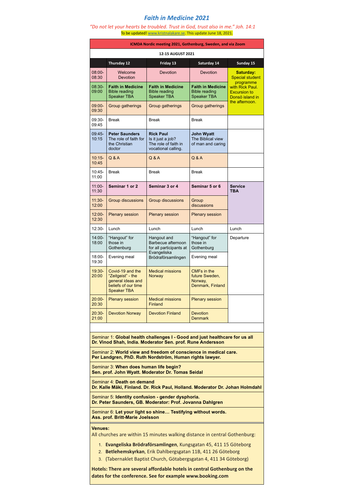# *Faith in Medicine 2021*

*"Do not let your hearts be troubled. Trust in God, trust also in me." Joh. 14:1* To be updated! www.kristnalakare.se. This update June 18, 2021.

| ICMDA Nordic meeting 2021, Gothenburg, Sweden, and via Zoom                                                                                                                                             |                                                                                                         |                                                                                      |                                                                        |                                                           |  |  |
|---------------------------------------------------------------------------------------------------------------------------------------------------------------------------------------------------------|---------------------------------------------------------------------------------------------------------|--------------------------------------------------------------------------------------|------------------------------------------------------------------------|-----------------------------------------------------------|--|--|
| <b>12-15 AUGUST 2021</b>                                                                                                                                                                                |                                                                                                         |                                                                                      |                                                                        |                                                           |  |  |
|                                                                                                                                                                                                         | Thursday 12                                                                                             | Friday 13                                                                            | Saturday 14                                                            | Sunday 15                                                 |  |  |
| $08:00 -$<br>08:30                                                                                                                                                                                      | Welcome<br><b>Devotion</b>                                                                              | Devotion                                                                             | Devotion                                                               | Saturday:<br><b>Special student</b><br>programme          |  |  |
| 08:30-<br>09:00                                                                                                                                                                                         | <b>Faith in Medicine</b><br><b>Bible reading</b><br><b>Speaker TBA</b>                                  | <b>Faith in Medicine</b><br><b>Bible reading</b><br><b>Speaker TBA</b>               | <b>Faith in Medicine</b><br><b>Bible reading</b><br><b>Speaker TBA</b> | with Rick Paul.<br><b>Excursion to</b><br>Donsö island in |  |  |
| 09:00-<br>09:30                                                                                                                                                                                         | <b>Group gatherings</b>                                                                                 | Group gatherings                                                                     | <b>Group gatherings</b>                                                | the afternoon.                                            |  |  |
| 09:30-<br>09:45                                                                                                                                                                                         | <b>Break</b>                                                                                            | <b>Break</b>                                                                         | <b>Break</b>                                                           |                                                           |  |  |
| 09:45-<br>10:15                                                                                                                                                                                         | <b>Peter Saunders</b><br>The role of faith for<br>the Christian<br>doctor                               | <b>Rick Paul</b><br>Is it just a job?<br>The role of faith in<br>vocational calling. | John Wyatt<br>The Biblical view<br>of man and caring                   |                                                           |  |  |
| $10:15-$<br>10:45                                                                                                                                                                                       | $Q$ &A                                                                                                  | Q & A                                                                                | Q & A                                                                  |                                                           |  |  |
| $10:45 -$<br>11:00                                                                                                                                                                                      | <b>Break</b>                                                                                            | <b>Break</b>                                                                         | <b>Break</b>                                                           |                                                           |  |  |
| $11:00 -$<br>11:30                                                                                                                                                                                      | Seminar 1 or 2                                                                                          | Seminar 3 or 4                                                                       | Seminar 5 or 6                                                         | <b>Service</b><br><b>TBA</b>                              |  |  |
| $11:30-$<br>12:00                                                                                                                                                                                       | <b>Group discussions</b>                                                                                | <b>Group discussions</b>                                                             | Group<br>discussions                                                   |                                                           |  |  |
| $12:00 -$<br>12:30                                                                                                                                                                                      | <b>Plenary session</b>                                                                                  | <b>Plenary session</b>                                                               | <b>Plenary session</b>                                                 |                                                           |  |  |
| $12:30-$                                                                                                                                                                                                | Lunch                                                                                                   | Lunch                                                                                | Lunch                                                                  | Lunch                                                     |  |  |
| $14:00 -$<br>18:00                                                                                                                                                                                      | "Hangout" for<br>those in<br>Gothenburg                                                                 | Hangout and<br>Barbecue afternoon<br>for all participants at                         | "Hangout" for<br>those in<br>Gothenburg                                | Departure                                                 |  |  |
| $18:00 -$<br>19:30                                                                                                                                                                                      | Evening meal                                                                                            | Evangeliska<br>Brödraförsamlingen                                                    | Evening meal                                                           |                                                           |  |  |
| $19:30 -$<br>20:00                                                                                                                                                                                      | Covid-19 and the<br>"Zeitgeist" - the<br>general ideas and<br>beliefs of our time<br><b>Speaker TBA</b> | <b>Medical missions</b><br><b>Norway</b>                                             | <b>CMFs in the</b><br>future Sweden,<br>Norway,<br>Denmark, Finland    |                                                           |  |  |
| $20:00 -$<br>20:30                                                                                                                                                                                      | <b>Plenary session</b>                                                                                  | <b>Medical missions</b><br>Finland                                                   | <b>Plenary session</b>                                                 |                                                           |  |  |
| 20:30-<br>21:00                                                                                                                                                                                         | <b>Devotion Norway</b>                                                                                  | <b>Devotion Finland</b>                                                              | <b>Devotion</b><br><b>Denmark</b>                                      |                                                           |  |  |
|                                                                                                                                                                                                         |                                                                                                         |                                                                                      |                                                                        |                                                           |  |  |
| Seminar 1: Global health challenges I - Good and just healthcare for us all<br>Dr. Vinod Shah, India. Moderator Sen. prof. Rune Andersson                                                               |                                                                                                         |                                                                                      |                                                                        |                                                           |  |  |
| Seminar 2: World view and freedom of conscience in medical care.<br>Per Landgren, PhD. Ruth Nordström, Human rights lawyer.                                                                             |                                                                                                         |                                                                                      |                                                                        |                                                           |  |  |
| Seminar 3: When does human life begin?<br>Sen. prof. John Wyatt. Moderator Dr. Tomas Seidal                                                                                                             |                                                                                                         |                                                                                      |                                                                        |                                                           |  |  |
| Seminar 4: Death on demand<br><u>Dr. Kalle Mäki, Finland. Dr. Rick Paul, Holland. Moderator Dr. Johan Holmdahl</u>                                                                                      |                                                                                                         |                                                                                      |                                                                        |                                                           |  |  |
| Seminar 5: Identity confusion - gender dysphoria.<br>Dr. Peter Saunders, GB. Moderator: Prof. Jovanna Dahlgren                                                                                          |                                                                                                         |                                                                                      |                                                                        |                                                           |  |  |
| Seminar 6: Let your light so shine Testifying without words.<br>Ass. prof. Britt-Marie Joelsson                                                                                                         |                                                                                                         |                                                                                      |                                                                        |                                                           |  |  |
| <b>Venues:</b><br>All churches are within 15 minutes walking distance in central Gothenburg:                                                                                                            |                                                                                                         |                                                                                      |                                                                        |                                                           |  |  |
| 1. Evangeliska Brödraförsamlingen, Kungsgatan 45, 411 15 Göteborg<br>2. Betlehemskyrkan, Erik Dahlbergsgatan 11B, 411 26 Göteborg<br>3. (Tabernaklet Baptist Church, Götabergsgatan 4, 411 34 Göteborg) |                                                                                                         |                                                                                      |                                                                        |                                                           |  |  |

**Hotels: There are several affordable hotels in central Gothenburg on the dates for the conference. See for example www.booking.com**